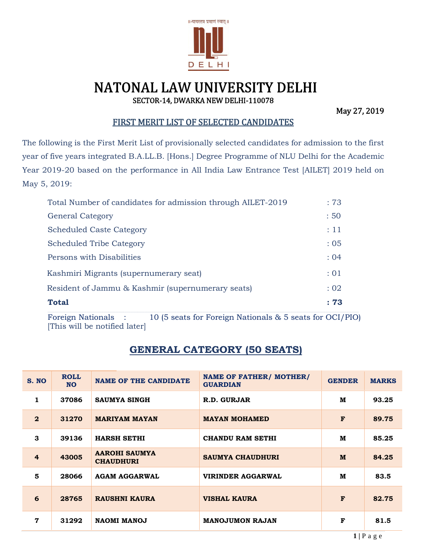

# NATONAL LAW UNIVERSITY DELHI SECTOR-14, DWARKA NEW DELHI-110078

May 27, 2019

#### FIRST MERIT LIST OF SELECTED CANDIDATES

The following is the First Merit List of provisionally selected candidates for admission to the first year of five years integrated B.A.LL.B. [Hons.] Degree Programme of NLU Delhi for the Academic Year 2019-20 based on the performance in All India Law Entrance Test [AILET] 2019 held on May 5, 2019:

| Total Number of candidates for admission through AILET-2019 | :73       |
|-------------------------------------------------------------|-----------|
| <b>General Category</b>                                     | :50       |
| <b>Scheduled Caste Category</b>                             | $\div 11$ |
| <b>Scheduled Tribe Category</b>                             | : 0.5     |
| Persons with Disabilities                                   | : 04      |
| Kashmiri Migrants (supernumerary seat)                      | $\div 01$ |
| Resident of Jammu & Kashmir (supernumerary seats)           | : 02      |
| <b>Total</b>                                                | : 73      |

Foreign Nationals : 10 (5 seats for Foreign Nationals & 5 seats for OCI/PIO) [This will be notified later]

### **GENERAL CATEGORY (50 SEATS)**

| S. NO          | <b>ROLL</b><br><b>NO</b> | <b>NAME OF THE CANDIDATE</b>             | <b>NAME OF FATHER/ MOTHER/</b><br><b>GUARDIAN</b> | <b>GENDER</b> | <b>MARKS</b> |
|----------------|--------------------------|------------------------------------------|---------------------------------------------------|---------------|--------------|
| 1              | 37086                    | <b>SAUMYA SINGH</b>                      | R.D. GURJAR                                       | M             | 93.25        |
| $\mathbf{2}$   | 31270                    | <b>MARIYAM MAYAN</b>                     | <b>MAYAN MOHAMED</b>                              | $\mathbf{F}$  | 89.75        |
| 3              | 39136                    | <b>HARSH SETHI</b>                       | <b>CHANDU RAM SETHI</b>                           | M             | 85.25        |
| $\overline{4}$ | 43005                    | <b>AAROHI SAUMYA</b><br><b>CHAUDHURI</b> | <b>SAUMYA CHAUDHURI</b>                           | M             | 84.25        |
| 5              | 28066                    | <b>AGAM AGGARWAL</b>                     | VIRINDER AGGARWAL                                 | M             | 83.5         |
| 6              | 28765                    | <b>RAUSHNI KAURA</b>                     | <b>VISHAL KAURA</b>                               | $\mathbf{F}$  | 82.75        |
| $\mathbf 7$    | 31292                    | <b>NAOMI MANOJ</b>                       | <b>MANOJUMON RAJAN</b>                            | F             | 81.5         |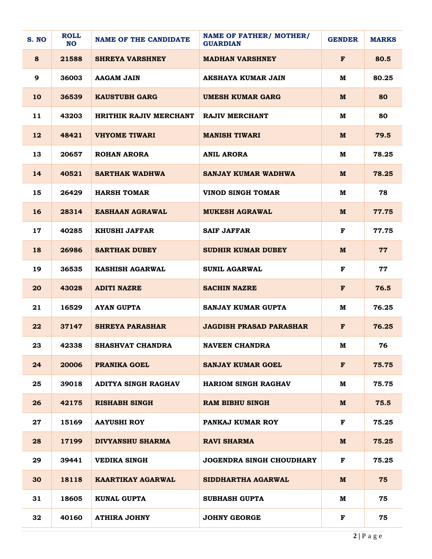| S. NO | <b>ROLL</b><br><b>NO</b> | <b>NAME OF THE CANDIDATE</b>  | <b>NAME OF FATHER/ MOTHER/</b><br><b>GUARDIAN</b> | <b>GENDER</b> | <b>MARKS</b> |
|-------|--------------------------|-------------------------------|---------------------------------------------------|---------------|--------------|
| 8     | 21588                    | <b>SHREYA VARSHNEY</b>        | <b>MADHAN VARSHNEY</b>                            | F             | 80.5         |
| 9     | 36003                    | AAGAM JAIN                    | AKSHAYA KUMAR JAIN                                | м             | 80.25        |
| 10    | 36539                    | <b>KAUSTUBH GARG</b>          | <b>UMESH KUMAR GARG</b>                           | M             | 80           |
| 11    | 43203                    | <b>HRITHIK RAJIV MERCHANT</b> | <b>RAJIV MERCHANT</b>                             | M             | 80           |
| 12    | 48421                    | <b>VHYOME TIWARI</b>          | <b>MANISH TIWARI</b>                              | M             | 79.5         |
| 13    | 20657                    | <b>ROHAN ARORA</b>            | <b>ANIL ARORA</b>                                 | м             | 78.25        |
| 14    | 40521                    | <b>SARTHAK WADHWA</b>         | <b>SANJAY KUMAR WADHWA</b>                        | M             | 78.25        |
| 15    | 26429                    | <b>HARSH TOMAR</b>            | <b>VINOD SINGH TOMAR</b>                          | M             | 78           |
| 16    | 28314                    | <b>EASHAAN AGRAWAL</b>        | <b>MUKESH AGRAWAL</b>                             | M             | 77.75        |
| 17    | 40285                    | <b>KHUSHI JAFFAR</b>          | <b>SAIF JAFFAR</b>                                | F             | 77.75        |
| 18    | 26986                    | <b>SARTHAK DUBEY</b>          | <b>SUDHIR KUMAR DUBEY</b>                         | M             | 77           |
| 19    | 36535                    | <b>KASHISH AGARWAL</b>        | <b>SUNIL AGARWAL</b>                              | F             | 77           |
| 20    | 43028                    | <b>ADITI NAZRE</b>            | <b>SACHIN NAZRE</b>                               | F             | 76.5         |
| 21    | 16529                    | <b>AYAN GUPTA</b>             | <b>SANJAY KUMAR GUPTA</b>                         | M             | 76.25        |
| 22    | 37147                    | <b>SHREYA PARASHAR</b>        | <b>JAGDISH PRASAD PARASHAR</b>                    | F             | 76.25        |
| 23    | 42338                    | SHASHVAT CHANDRA              | <b>NAVEEN CHANDRA</b>                             | M             | 76           |
| 24    | 20006                    | <b>PRANIKA GOEL</b>           | <b>SANJAY KUMAR GOEL</b>                          | $\mathbf F$   | 75.75        |
| 25    | 39018                    | <b>ADITYA SINGH RAGHAV</b>    | <b>HARIOM SINGH RAGHAV</b>                        | м             | 75.75        |
| 26    | 42175                    | <b>RISHABH SINGH</b>          | <b>RAM BIBHU SINGH</b>                            | M             | 75.5         |
| 27    | 15169                    | <b>AAYUSHI ROY</b>            | PANKAJ KUMAR ROY                                  | $\mathbf F$   | 75.25        |
| 28    | 17199                    | <b>DIVYANSHU SHARMA</b>       | <b>RAVI SHARMA</b>                                | M             | 75.25        |
| 29    | 39441                    | <b>VEDIKA SINGH</b>           | <b>JOGENDRA SINGH CHOUDHARY</b>                   | F             | 75.25        |
| 30    | 18118                    | KAARTIKAY AGARWAL             | SIDDHARTHA AGARWAL                                | M             | 75           |
| 31    | 18605                    | <b>KUNAL GUPTA</b>            | <b>SUBHASH GUPTA</b>                              | M             | 75           |
| 32    | 40160                    | <b>ATHIRA JOHNY</b>           | <b>JOHNY GEORGE</b>                               | F             | 75           |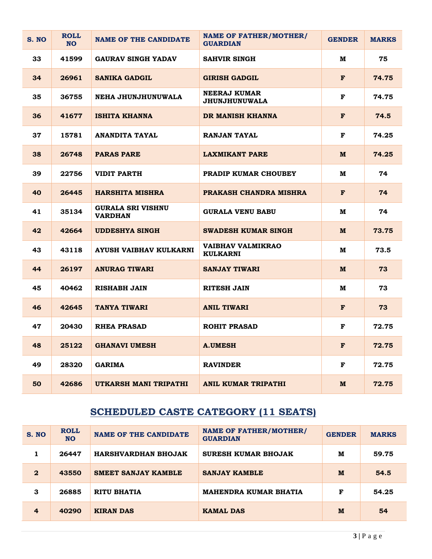| S. NO | <b>ROLL</b><br><b>NO</b> | <b>NAME OF THE CANDIDATE</b>               | <b>NAME OF FATHER/MOTHER/</b><br><b>GUARDIAN</b> | <b>GENDER</b> | <b>MARKS</b> |
|-------|--------------------------|--------------------------------------------|--------------------------------------------------|---------------|--------------|
| 33    | 41599                    | <b>GAURAV SINGH YADAV</b>                  | <b>SAHVIR SINGH</b>                              | M             | 75           |
| 34    | 26961                    | <b>SANIKA GADGIL</b>                       | <b>GIRISH GADGIL</b>                             | F             | 74.75        |
| 35    | 36755                    | NEHA JHUNJHUNUWALA                         | NEERAJ KUMAR<br><b>JHUNJHUNUWALA</b>             | F             | 74.75        |
| 36    | 41677                    | ISHITA KHANNA                              | DR MANISH KHANNA                                 | F             | 74.5         |
| 37    | 15781                    | ANANDITA TAYAL                             | RANJAN TAYAL                                     | F             | 74.25        |
| 38    | 26748                    | <b>PARAS PARE</b>                          | <b>LAXMIKANT PARE</b>                            | M             | 74.25        |
| 39    | 22756                    | VIDIT PARTH                                | <b>PRADIP KUMAR CHOUBEY</b>                      | M             | 74           |
| 40    | 26445                    | <b>HARSHITA MISHRA</b>                     | PRAKASH CHANDRA MISHRA                           | F             | 74           |
| 41    | 35134                    | <b>GURALA SRI VISHNU</b><br><b>VARDHAN</b> | <b>GURALA VENU BABU</b>                          | M             | 74           |
| 42    | 42664                    | <b>UDDESHYA SINGH</b>                      | SWADESH KUMAR SINGH                              | M             | 73.75        |
| 43    | 43118                    | AYUSH VAIBHAV KULKARNI                     | VAIBHAV VALMIKRAO<br><b>KULKARNI</b>             | M             | 73.5         |
| 44    | 26197                    | <b>ANURAG TIWARI</b>                       | <b>SANJAY TIWARI</b>                             | M             | 73           |
| 45    | 40462                    | RISHABH JAIN                               | RITESH JAIN                                      | м             | 73           |
| 46    | 42645                    | <b>TANYA TIWARI</b>                        | <b>ANIL TIWARI</b>                               | F             | 73           |
| 47    | 20430                    | <b>RHEA PRASAD</b>                         | <b>ROHIT PRASAD</b>                              | F             | 72.75        |
| 48    | 25122                    | <b>GHANAVI UMESH</b>                       | <b>A.UMESH</b>                                   | F             | 72.75        |
| 49    | 28320                    | <b>GARIMA</b>                              | <b>RAVINDER</b>                                  | F             | 72.75        |
| 50    | 42686                    | UTKARSH MANI TRIPATHI                      | ANIL KUMAR TRIPATHI                              | M             | 72.75        |

# **SCHEDULED CASTE CATEGORY (11 SEATS)**

| S. NO          | <b>ROLL</b><br><b>NO</b> | <b>NAME OF THE CANDIDATE</b> | <b>NAME OF FATHER/MOTHER/</b><br><b>GUARDIAN</b> | <b>GENDER</b> | <b>MARKS</b> |
|----------------|--------------------------|------------------------------|--------------------------------------------------|---------------|--------------|
|                | 26447                    | <b>HARSHVARDHAN BHOJAK</b>   | <b>SURESH KUMAR BHOJAK</b>                       | м             | 59.75        |
| $\mathbf{2}$   | 43550                    | <b>SMEET SANJAY KAMBLE</b>   | <b>SANJAY KAMBLE</b>                             | M             | 54.5         |
| 3              | 26885                    | RITU BHATIA                  | <b>MAHENDRA KUMAR BHATIA</b>                     | F             | 54.25        |
| $\overline{4}$ | 40290                    | <b>KIRAN DAS</b>             | <b>KAMAL DAS</b>                                 | M             | 54           |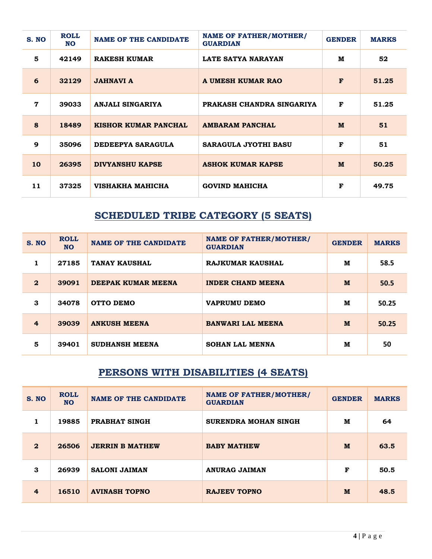| S. NO          | <b>ROLL</b><br><b>NO</b> | <b>NAME OF THE CANDIDATE</b> | <b>NAME OF FATHER/MOTHER/</b><br><b>GUARDIAN</b> | <b>GENDER</b> | <b>MARKS</b> |
|----------------|--------------------------|------------------------------|--------------------------------------------------|---------------|--------------|
| 5              | 42149                    | <b>RAKESH KUMAR</b>          | <b>LATE SATYA NARAYAN</b>                        | M             | 52           |
| 6              | 32129                    | <b>JAHNAVI A</b>             | A UMESH KUMAR RAO                                | F             | 51.25        |
| $\overline{7}$ | 39033                    | ANJALI SINGARIYA             | PRAKASH CHANDRA SINGARIYA                        | F             | 51.25        |
| 8              | 18489                    | KISHOR KUMAR PANCHAL         | <b>AMBARAM PANCHAL</b>                           | M             | 51           |
| 9              | 35096                    | DEDEEPYA SARAGULA            | <b>SARAGULA JYOTHI BASU</b>                      | F             | 51           |
| 10             | 26395                    | <b>DIVYANSHU KAPSE</b>       | <b>ASHOK KUMAR KAPSE</b>                         | M             | 50.25        |
| 11             | 37325                    | VISHAKHA MAHICHA             | <b>GOVIND MAHICHA</b>                            | F             | 49.75        |

# **SCHEDULED TRIBE CATEGORY (5 SEATS)**

| S. NO          | <b>ROLL</b><br><b>NO</b> | <b>NAME OF THE CANDIDATE</b> | <b>NAME OF FATHER/MOTHER/</b><br><b>GUARDIAN</b> | <b>GENDER</b> | <b>MARKS</b> |
|----------------|--------------------------|------------------------------|--------------------------------------------------|---------------|--------------|
| 1.             | 27185                    | <b>TANAY KAUSHAL</b>         | <b>RAJKUMAR KAUSHAL</b>                          | M             | 58.5         |
| $\mathbf{2}$   | 39091                    | DEEPAK KUMAR MEENA           | <b>INDER CHAND MEENA</b>                         | M             | 50.5         |
| 3              | 34078                    | <b>OTTO DEMO</b>             | <b>VAPRUMU DEMO</b>                              | M             | 50.25        |
| $\overline{4}$ | 39039                    | <b>ANKUSH MEENA</b>          | <b>BANWARI LAL MEENA</b>                         | M             | 50.25        |
| 5              | 39401                    | <b>SUDHANSH MEENA</b>        | <b>SOHAN LAL MENNA</b>                           | M             | 50           |

#### **PERSONS WITH DISABILITIES (4 SEATS)**

| S. NO          | <b>ROLL</b><br><b>NO</b> | <b>NAME OF THE CANDIDATE</b> | <b>NAME OF FATHER/MOTHER/</b><br><b>GUARDIAN</b> | <b>GENDER</b> | <b>MARKS</b> |
|----------------|--------------------------|------------------------------|--------------------------------------------------|---------------|--------------|
|                | 19885                    | PRABHAT SINGH                | <b>SURENDRA MOHAN SINGH</b>                      | М             | 64           |
| $\mathbf{2}$   | 26506                    | <b>JERRIN B MATHEW</b>       | <b>BABY MATHEW</b>                               | M             | 63.5         |
| 3              | 26939                    | <b>SALONI JAIMAN</b>         | <b>ANURAG JAIMAN</b>                             | F             | 50.5         |
| $\overline{4}$ | 16510                    | <b>AVINASH TOPNO</b>         | <b>RAJEEV TOPNO</b>                              | M             | 48.5         |